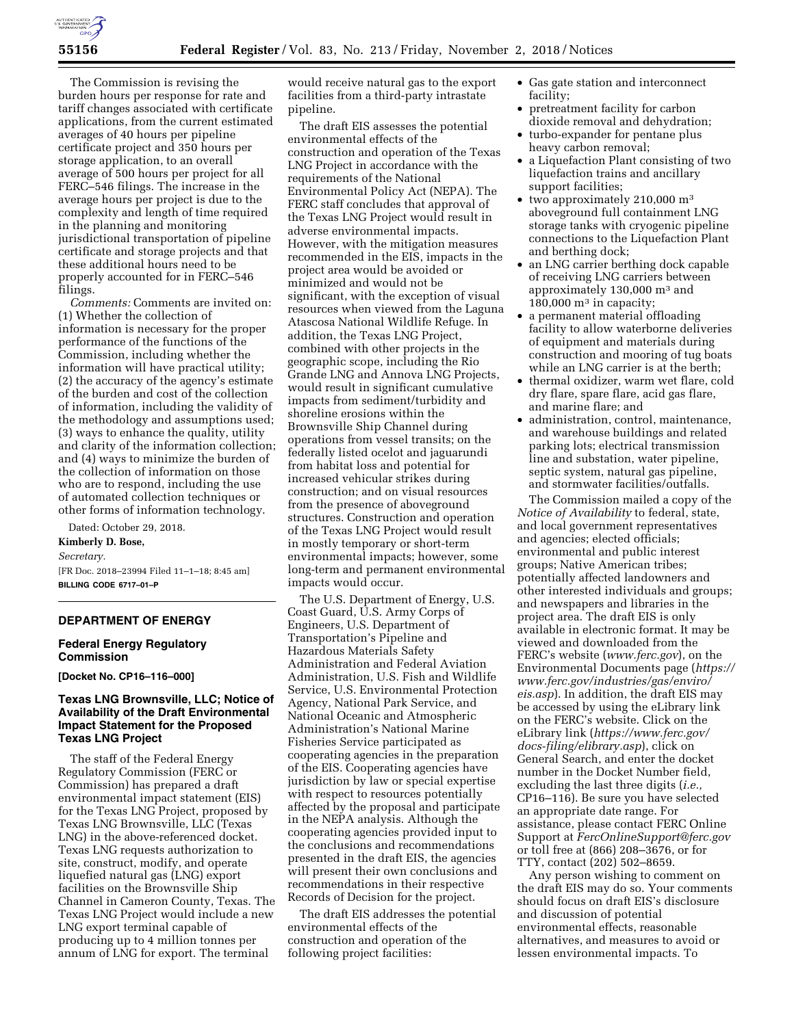

The Commission is revising the burden hours per response for rate and tariff changes associated with certificate applications, from the current estimated averages of 40 hours per pipeline certificate project and 350 hours per storage application, to an overall average of 500 hours per project for all FERC–546 filings. The increase in the average hours per project is due to the complexity and length of time required in the planning and monitoring jurisdictional transportation of pipeline certificate and storage projects and that these additional hours need to be properly accounted for in FERC–546 filings.

*Comments:* Comments are invited on: (1) Whether the collection of information is necessary for the proper performance of the functions of the Commission, including whether the information will have practical utility; (2) the accuracy of the agency's estimate of the burden and cost of the collection of information, including the validity of the methodology and assumptions used; (3) ways to enhance the quality, utility and clarity of the information collection; and (4) ways to minimize the burden of the collection of information on those who are to respond, including the use of automated collection techniques or other forms of information technology.

Dated: October 29, 2018.

**Kimberly D. Bose,**  *Secretary.* 

[FR Doc. 2018–23994 Filed 11–1–18; 8:45 am] **BILLING CODE 6717–01–P** 

# **DEPARTMENT OF ENERGY**

## **Federal Energy Regulatory Commission**

**[Docket No. CP16–116–000]** 

# **Texas LNG Brownsville, LLC; Notice of Availability of the Draft Environmental Impact Statement for the Proposed Texas LNG Project**

The staff of the Federal Energy Regulatory Commission (FERC or Commission) has prepared a draft environmental impact statement (EIS) for the Texas LNG Project, proposed by Texas LNG Brownsville, LLC (Texas LNG) in the above-referenced docket. Texas LNG requests authorization to site, construct, modify, and operate liquefied natural gas (LNG) export facilities on the Brownsville Ship Channel in Cameron County, Texas. The Texas LNG Project would include a new LNG export terminal capable of producing up to 4 million tonnes per annum of LNG for export. The terminal

would receive natural gas to the export facilities from a third-party intrastate pipeline.

The draft EIS assesses the potential environmental effects of the construction and operation of the Texas LNG Project in accordance with the requirements of the National Environmental Policy Act (NEPA). The FERC staff concludes that approval of the Texas LNG Project would result in adverse environmental impacts. However, with the mitigation measures recommended in the EIS, impacts in the project area would be avoided or minimized and would not be significant, with the exception of visual resources when viewed from the Laguna Atascosa National Wildlife Refuge. In addition, the Texas LNG Project, combined with other projects in the geographic scope, including the Rio Grande LNG and Annova LNG Projects, would result in significant cumulative impacts from sediment/turbidity and shoreline erosions within the Brownsville Ship Channel during operations from vessel transits; on the federally listed ocelot and jaguarundi from habitat loss and potential for increased vehicular strikes during construction; and on visual resources from the presence of aboveground structures. Construction and operation of the Texas LNG Project would result in mostly temporary or short-term environmental impacts; however, some long-term and permanent environmental impacts would occur.

The U.S. Department of Energy, U.S. Coast Guard, U.S. Army Corps of Engineers, U.S. Department of Transportation's Pipeline and Hazardous Materials Safety Administration and Federal Aviation Administration, U.S. Fish and Wildlife Service, U.S. Environmental Protection Agency, National Park Service, and National Oceanic and Atmospheric Administration's National Marine Fisheries Service participated as cooperating agencies in the preparation of the EIS. Cooperating agencies have jurisdiction by law or special expertise with respect to resources potentially affected by the proposal and participate in the NEPA analysis. Although the cooperating agencies provided input to the conclusions and recommendations presented in the draft EIS, the agencies will present their own conclusions and recommendations in their respective Records of Decision for the project.

The draft EIS addresses the potential environmental effects of the construction and operation of the following project facilities:

- Gas gate station and interconnect facility;
- pretreatment facility for carbon dioxide removal and dehydration;
- turbo-expander for pentane plus heavy carbon removal;
- a Liquefaction Plant consisting of two liquefaction trains and ancillary support facilities;
- two approximately 210,000 m<sup>3</sup> aboveground full containment LNG storage tanks with cryogenic pipeline connections to the Liquefaction Plant and berthing dock;
- an LNG carrier berthing dock capable of receiving LNG carriers between approximately 130,000 m3 and  $180,000$  m<sup>3</sup> in capacity;
- a permanent material offloading facility to allow waterborne deliveries of equipment and materials during construction and mooring of tug boats while an LNG carrier is at the berth;
- thermal oxidizer, warm wet flare, cold dry flare, spare flare, acid gas flare, and marine flare; and
- administration, control, maintenance, and warehouse buildings and related parking lots; electrical transmission line and substation, water pipeline, septic system, natural gas pipeline, and stormwater facilities/outfalls.

The Commission mailed a copy of the *Notice of Availability* to federal, state, and local government representatives and agencies; elected officials; environmental and public interest groups; Native American tribes; potentially affected landowners and other interested individuals and groups; and newspapers and libraries in the project area. The draft EIS is only available in electronic format. It may be viewed and downloaded from the FERC's website (*[www.ferc.gov](http://www.ferc.gov)*), on the Environmental Documents page (*[https://](https://www.ferc.gov/industries/gas/enviro/eis.asp)  [www.ferc.gov/industries/gas/enviro/](https://www.ferc.gov/industries/gas/enviro/eis.asp)  [eis.asp](https://www.ferc.gov/industries/gas/enviro/eis.asp)*). In addition, the draft EIS may be accessed by using the eLibrary link on the FERC's website. Click on the eLibrary link (*[https://www.ferc.gov/](https://www.ferc.gov/docs-filing/elibrary.asp) [docs-filing/elibrary.asp](https://www.ferc.gov/docs-filing/elibrary.asp)*), click on General Search, and enter the docket number in the Docket Number field, excluding the last three digits (*i.e.,*  CP16–116). Be sure you have selected an appropriate date range. For assistance, please contact FERC Online Support at *[FercOnlineSupport@ferc.gov](mailto:FercOnlineSupport@ferc.gov)*  or toll free at (866) 208–3676, or for TTY, contact (202) 502–8659.

Any person wishing to comment on the draft EIS may do so. Your comments should focus on draft EIS's disclosure and discussion of potential environmental effects, reasonable alternatives, and measures to avoid or lessen environmental impacts. To